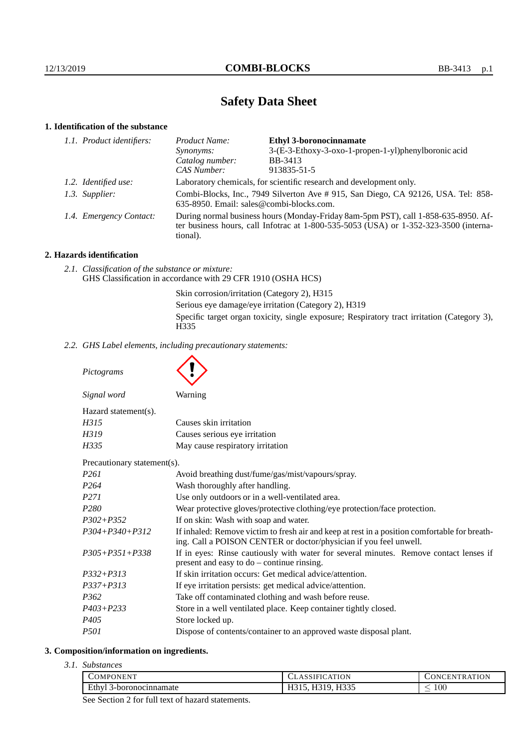# **Safety Data Sheet**

## **1. Identification of the substance**

|  | 1.1. Product identifiers: | Product Name:                                                                                                                                                                               | <b>Ethyl 3-boronocinnamate</b>                       |
|--|---------------------------|---------------------------------------------------------------------------------------------------------------------------------------------------------------------------------------------|------------------------------------------------------|
|  |                           | Synonyms:                                                                                                                                                                                   | 3-(E-3-Ethoxy-3-oxo-1-propen-1-yl)phenylboronic acid |
|  |                           | Catalog number:                                                                                                                                                                             | <b>BB-3413</b>                                       |
|  |                           | CAS Number:                                                                                                                                                                                 | 913835-51-5                                          |
|  | 1.2. Identified use:      | Laboratory chemicals, for scientific research and development only.                                                                                                                         |                                                      |
|  | 1.3. Supplier:            | Combi-Blocks, Inc., 7949 Silverton Ave # 915, San Diego, CA 92126, USA. Tel: 858-<br>635-8950. Email: sales@combi-blocks.com.                                                               |                                                      |
|  | 1.4. Emergency Contact:   | During normal business hours (Monday-Friday 8am-5pm PST), call 1-858-635-8950. Af-<br>ter business hours, call Infotrac at $1-800-535-5053$ (USA) or $1-352-323-3500$ (interna-<br>tional). |                                                      |

## **2. Hazards identification**

*2.1. Classification of the substance or mixture:* GHS Classification in accordance with 29 CFR 1910 (OSHA HCS)

> Skin corrosion/irritation (Category 2), H315 Serious eye damage/eye irritation (Category 2), H319 Specific target organ toxicity, single exposure; Respiratory tract irritation (Category 3), H335

*2.2. GHS Label elements, including precautionary statements:*

*Pictograms*

*Signal word* Warning

| Signal word          |  |
|----------------------|--|
| Hazard statement(s). |  |

| H315  | Causes skin irritation           |
|-------|----------------------------------|
| H319  | Causes serious eye irritation    |
| H335. | May cause respiratory irritation |

Precautionary statement(s).

| I Tecautional y statement 37. |                                                                                                                                                                    |  |
|-------------------------------|--------------------------------------------------------------------------------------------------------------------------------------------------------------------|--|
| P261                          | Avoid breathing dust/fume/gas/mist/vapours/spray.                                                                                                                  |  |
| P264                          | Wash thoroughly after handling.                                                                                                                                    |  |
| P271                          | Use only outdoors or in a well-ventilated area.                                                                                                                    |  |
| P280                          | Wear protective gloves/protective clothing/eye protection/face protection.                                                                                         |  |
| P302+P352                     | If on skin: Wash with soap and water.                                                                                                                              |  |
| P304+P340+P312                | If inhaled: Remove victim to fresh air and keep at rest in a position comfortable for breath-<br>ing. Call a POISON CENTER or doctor/physician if you feel unwell. |  |
| P305+P351+P338                | If in eyes: Rinse cautiously with water for several minutes. Remove contact lenses if<br>present and easy to $do$ – continue rinsing.                              |  |
| P332+P313                     | If skin irritation occurs: Get medical advice/attention.                                                                                                           |  |
| P337+P313                     | If eye irritation persists: get medical advice/attention.                                                                                                          |  |
| P362                          | Take off contaminated clothing and wash before reuse.                                                                                                              |  |
| P403+P233                     | Store in a well ventilated place. Keep container tightly closed.                                                                                                   |  |
| P405                          | Store locked up.                                                                                                                                                   |  |
| P501                          | Dispose of contents/container to an approved waste disposal plant.                                                                                                 |  |
|                               |                                                                                                                                                                    |  |

## **3. Composition/information on ingredients.**

*3.1. Substances*

| $\overline{ }$<br>. Pr<br>JMP<br><b>IN</b><br>N<br>the contract of the contract of the contract of                                             | ATION                              | $1.777$ $0.37$<br>0 N<br>N<br>N<br>к<br>л |
|------------------------------------------------------------------------------------------------------------------------------------------------|------------------------------------|-------------------------------------------|
| - 11<br>Ethv.<br>aamate<br>3-boronoc:                                                                                                          | T T Q Q F<br>---<br>**∼<br>. .<br> | 100<br>$\overline{\phantom{a}}$           |
| the contract of the contract of<br>the contract of the contract of the<br>the contract of the contract of the con-<br><b>Contract Contract</b> |                                    |                                           |

See Section 2 for full text of hazard statements.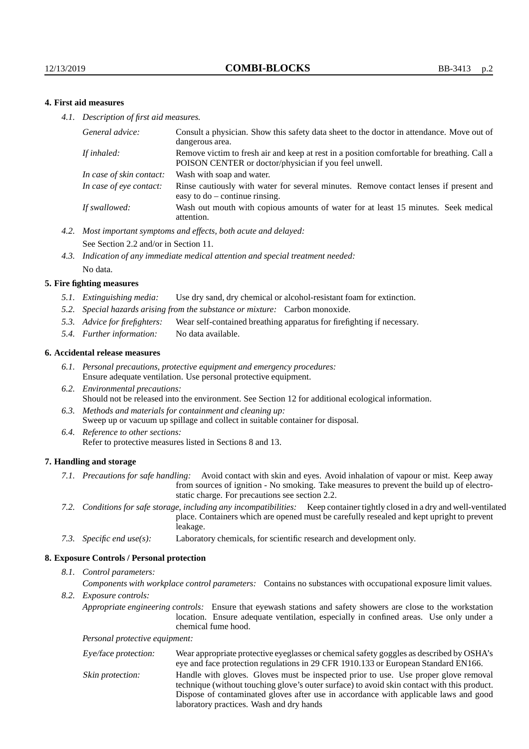#### **4. First aid measures**

*4.1. Description of first aid measures.*

| General advice:          | Consult a physician. Show this safety data sheet to the doctor in attendance. Move out of<br>dangerous area.                                         |
|--------------------------|------------------------------------------------------------------------------------------------------------------------------------------------------|
| If inhaled:              | Remove victim to fresh air and keep at rest in a position comfortable for breathing. Call a<br>POISON CENTER or doctor/physician if you feel unwell. |
| In case of skin contact: | Wash with soap and water.                                                                                                                            |
| In case of eye contact:  | Rinse cautiously with water for several minutes. Remove contact lenses if present and<br>easy to $do$ – continue rinsing.                            |
| If swallowed:            | Wash out mouth with copious amounts of water for at least 15 minutes. Seek medical<br>attention.                                                     |

- *4.2. Most important symptoms and effects, both acute and delayed:* See Section 2.2 and/or in Section 11.
- *4.3. Indication of any immediate medical attention and special treatment needed:* No data.

#### **5. Fire fighting measures**

- *5.1. Extinguishing media:* Use dry sand, dry chemical or alcohol-resistant foam for extinction.
- *5.2. Special hazards arising from the substance or mixture:* Carbon monoxide.
- *5.3. Advice for firefighters:* Wear self-contained breathing apparatus for firefighting if necessary.
- *5.4. Further information:* No data available.

#### **6. Accidental release measures**

- *6.1. Personal precautions, protective equipment and emergency procedures:* Ensure adequate ventilation. Use personal protective equipment.
- *6.2. Environmental precautions:* Should not be released into the environment. See Section 12 for additional ecological information.
- *6.3. Methods and materials for containment and cleaning up:* Sweep up or vacuum up spillage and collect in suitable container for disposal.
- *6.4. Reference to other sections:* Refer to protective measures listed in Sections 8 and 13.

#### **7. Handling and storage**

- *7.1. Precautions for safe handling:* Avoid contact with skin and eyes. Avoid inhalation of vapour or mist. Keep away from sources of ignition - No smoking. Take measures to prevent the build up of electrostatic charge. For precautions see section 2.2.
- *7.2. Conditions for safe storage, including any incompatibilities:* Keep container tightly closed in a dry and well-ventilated place. Containers which are opened must be carefully resealed and kept upright to prevent leakage.
- *7.3. Specific end use(s):* Laboratory chemicals, for scientific research and development only.

#### **8. Exposure Controls / Personal protection**

*8.1. Control parameters:*

*Components with workplace control parameters:* Contains no substances with occupational exposure limit values.

*8.2. Exposure controls:*

*Appropriate engineering controls:* Ensure that eyewash stations and safety showers are close to the workstation location. Ensure adequate ventilation, especially in confined areas. Use only under a chemical fume hood.

*Personal protective equipment:*

| Eye/face protection: | Wear appropriate protective eyeglasses or chemical safety goggles as described by OSHA's<br>eye and face protection regulations in 29 CFR 1910.133 or European Standard EN166.                                                                                                                                         |
|----------------------|------------------------------------------------------------------------------------------------------------------------------------------------------------------------------------------------------------------------------------------------------------------------------------------------------------------------|
| Skin protection:     | Handle with gloves. Gloves must be inspected prior to use. Use proper glove removal<br>technique (without touching glove's outer surface) to avoid skin contact with this product.<br>Dispose of contaminated gloves after use in accordance with applicable laws and good<br>laboratory practices. Wash and dry hands |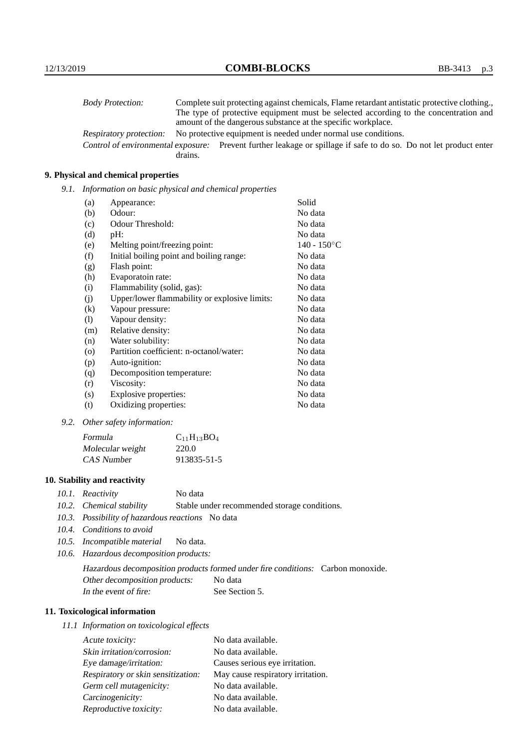| <b>Body Protection:</b> |         | Complete suit protecting against chemicals, Flame retardant antistatic protective clothing.                       |
|-------------------------|---------|-------------------------------------------------------------------------------------------------------------------|
|                         |         | The type of protective equipment must be selected according to the concentration and                              |
|                         |         | amount of the dangerous substance at the specific workplace.                                                      |
| Respiratory protection: |         | No protective equipment is needed under normal use conditions.                                                    |
|                         |         | Control of environmental exposure: Prevent further leakage or spillage if safe to do so. Do not let product enter |
|                         | drains. |                                                                                                                   |

## **9. Physical and chemical properties**

*9.1. Information on basic physical and chemical properties*

| (a)      | Appearance:                                   | Solid          |
|----------|-----------------------------------------------|----------------|
| (b)      | Odour:                                        | No data        |
| (c)      | Odour Threshold:                              | No data        |
| (d)      | pH:                                           | No data        |
| (e)      | Melting point/freezing point:                 | $140 - 150$ °C |
| (f)      | Initial boiling point and boiling range:      | No data        |
| (g)      | Flash point:                                  | No data        |
| (h)      | Evaporatoin rate:                             | No data        |
| (i)      | Flammability (solid, gas):                    | No data        |
| (j)      | Upper/lower flammability or explosive limits: | No data        |
| $\rm(k)$ | Vapour pressure:                              | No data        |
| (1)      | Vapour density:                               | No data        |
| (m)      | Relative density:                             | No data        |
| (n)      | Water solubility:                             | No data        |
| $\circ$  | Partition coefficient: n-octanol/water:       | No data        |
| (p)      | Auto-ignition:                                | No data        |
| (q)      | Decomposition temperature:                    | No data        |
| (r)      | Viscosity:                                    | No data        |
| (s)      | Explosive properties:                         | No data        |
| (t)      | Oxidizing properties:                         | No data        |

*9.2. Other safety information:*

| Formula          | $C_{11}H_{13}BO_4$ |
|------------------|--------------------|
| Molecular weight | 220.0              |
| CAS Number       | 913835-51-5        |

## **10. Stability and reactivity**

- *10.1. Reactivity* No data
- *10.2. Chemical stability* Stable under recommended storage conditions.
- *10.3. Possibility of hazardous reactions* No data
- *10.4. Conditions to avoid*
- *10.5. Incompatible material* No data.
- *10.6. Hazardous decomposition products:*

Hazardous decomposition products formed under fire conditions: Carbon monoxide. Other decomposition products: No data In the event of fire: See Section 5.

## **11. Toxicological information**

*11.1 Information on toxicological effects*

| Acute toxicity:                    | No data available.                |
|------------------------------------|-----------------------------------|
| Skin irritation/corrosion:         | No data available.                |
| Eye damage/irritation:             | Causes serious eye irritation.    |
| Respiratory or skin sensitization: | May cause respiratory irritation. |
| Germ cell mutagenicity:            | No data available.                |
| Carcinogenicity:                   | No data available.                |
| Reproductive toxicity:             | No data available.                |